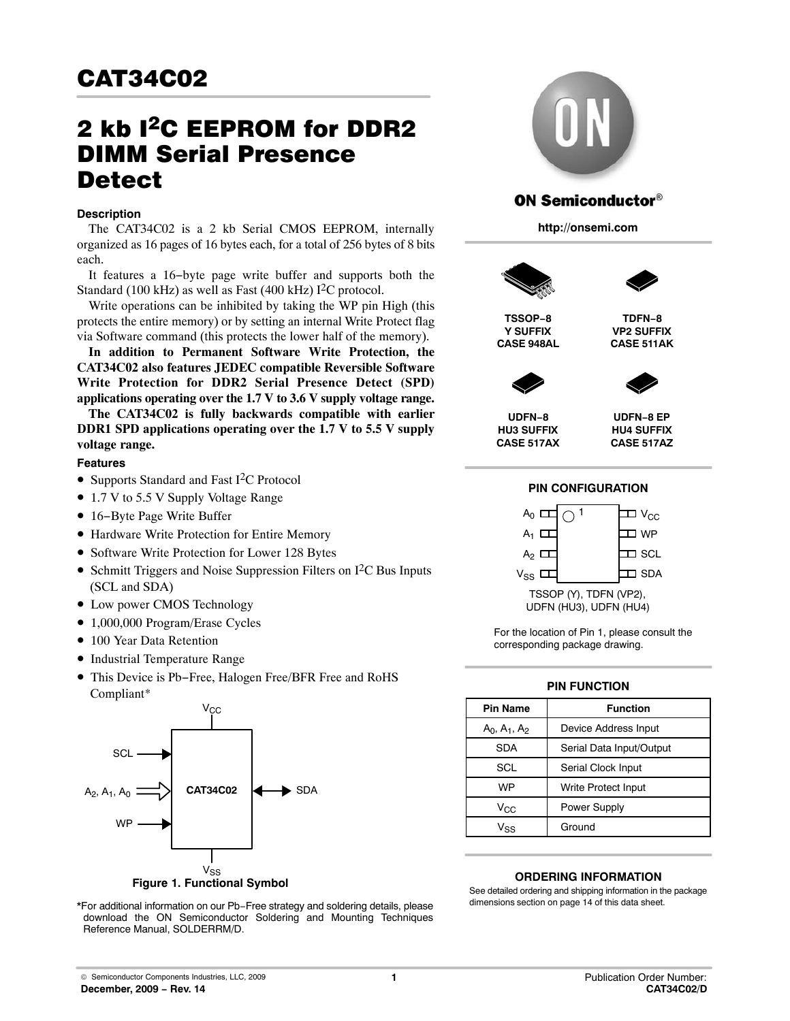# 2 kb <sup>2</sup>C EEPROM for DDR2 DIMM Serial Presence **Detect**

## **Description**

The CAT34C02 is a 2 kb Serial CMOS EEPROM, internally organized as 16 pages of 16 bytes each, for a total of 256 bytes of 8 bits each.

It features a 16−byte page write buffer and supports both the Standard (100 kHz) as well as Fast (400 kHz)  $I<sup>2</sup>C$  protocol.

Write operations can be inhibited by taking the WP pin High (this protects the entire memory) or by setting an internal Write Protect flag via Software command (this protects the lower half of the memory).

**In addition to Permanent Software Write Protection, the CAT34C02 also features JEDEC compatible Reversible Software Write Protection for DDR2 Serial Presence Detect (SPD) applications operating over the 1.7 V to 3.6 V supply voltage range.**

**The CAT34C02 is fully backwards compatible with earlier DDR1 SPD applications operating over the 1.7 V to 5.5 V supply voltage range.**

#### **Features**

- Supports Standard and Fast I<sup>2</sup>C Protocol
- 1.7 V to 5.5 V Supply Voltage Range
- 16−Byte Page Write Buffer
- Hardware Write Protection for Entire Memory
- Software Write Protection for Lower 128 Bytes
- Schmitt Triggers and Noise Suppression Filters on  $I<sup>2</sup>C$  Bus Inputs (SCL and SDA)
- Low power CMOS Technology
- 1,000,000 Program/Erase Cycles
- 100 Year Data Retention
- Industrial Temperature Range
- This Device is Pb−Free, Halogen Free/BFR Free and RoHS Compliant\*



**Figure 1. Functional Symbol**

\*For additional information on our Pb−Free strategy and soldering details, please download the ON Semiconductor Soldering and Mounting Techniques Reference Manual, SOLDERRM/D.



## **ON Semiconductor®**

**http://onsemi.com**





**TSSOP−8 Y SUFFIX CASE 948AL**

**TDFN−8 VP2 SUFFIX CASE 511AK**



**UDFN−8 HU3 SUFFIX CASE 517AX**

**UDFN−8 EP HU4 SUFFIX CASE 517AZ**

#### **PIN CONFIGURATION**



For the location of Pin 1, please consult the corresponding package drawing.

#### **PIN FUNCTION**

| <b>Pin Name</b> | <b>Function</b>          |
|-----------------|--------------------------|
| $A_0, A_1, A_2$ | Device Address Input     |
| <b>SDA</b>      | Serial Data Input/Output |
| <b>SCL</b>      | Serial Clock Input       |
| WP              | Write Protect Input      |
| $V_{\rm CC}$    | Power Supply             |
| $V_{SS}$        | Ground                   |

#### **ORDERING INFORMATION**

See detailed ordering and shipping information in the package dimensions section on page [14](#page-13-0) of this data sheet.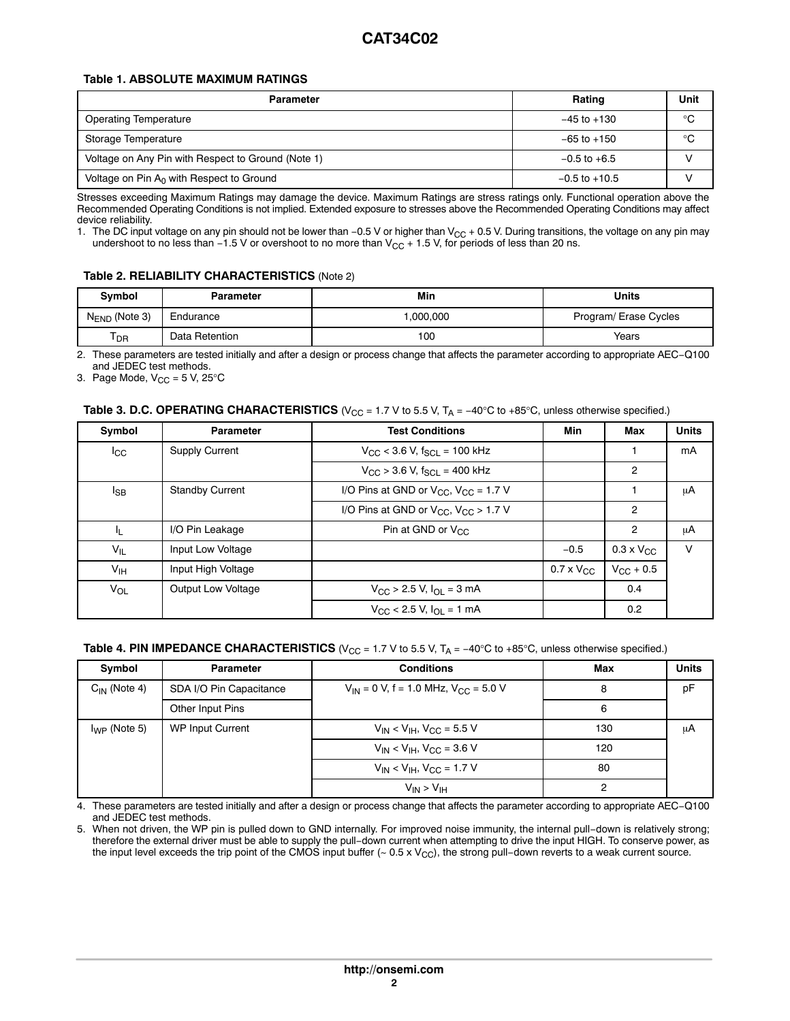#### **Table 1. ABSOLUTE MAXIMUM RATINGS**

| <b>Parameter</b>                                   | Rating            | Unit        |
|----------------------------------------------------|-------------------|-------------|
| <b>Operating Temperature</b>                       | $-45$ to $+130$   | °C          |
| Storage Temperature                                | $-65$ to $+150$   | $^{\circ}C$ |
| Voltage on Any Pin with Respect to Ground (Note 1) | $-0.5$ to $+6.5$  |             |
| Voltage on Pin $A_0$ with Respect to Ground        | $-0.5$ to $+10.5$ |             |

Stresses exceeding Maximum Ratings may damage the device. Maximum Ratings are stress ratings only. Functional operation above the Recommended Operating Conditions is not implied. Extended exposure to stresses above the Recommended Operating Conditions may affect device reliability.

1. The DC input voltage on any pin should not be lower than −0.5 V or higher than V<sub>CC</sub> + 0.5 V. During transitions, the voltage on any pin may undershoot to no less than −1.5 V or overshoot to no more than  $V_{CC}$  + 1.5 V, for periods of less than 20 ns.

#### **Table 2. RELIABILITY CHARACTERISTICS** (Note 2)

| Symbol             | Parameter      | Units    |                       |
|--------------------|----------------|----------|-----------------------|
| $N_{END}$ (Note 3) | Endurance      | .000.000 | Program/ Erase Cycles |
| ł<br>' DR          | Data Retention | 100      | Years                 |

2. These parameters are tested initially and after a design or process change that affects the parameter according to appropriate AEC−Q100 and JEDEC test methods.

3. Page Mode,  $V_{CC} = 5 V$ , 25°C

## **Table 3. D.C. OPERATING CHARACTERISTICS** (V<sub>CC</sub> = 1.7 V to 5.5 V, T<sub>A</sub> = −40°C to +85°C, unless otherwise specified.)

| Symbol          | <b>Parameter</b>          | <b>Test Conditions</b>                              |                     |                     |        |  |  |
|-----------------|---------------------------|-----------------------------------------------------|---------------------|---------------------|--------|--|--|
| $_{\rm{ICC}}$   | <b>Supply Current</b>     | $V_{\rm CC}$ < 3.6 V, f <sub>SCI</sub> = 100 kHz    |                     |                     | mA     |  |  |
|                 |                           | $V_{\text{CC}}$ > 3.6 V, $f_{\text{SCL}}$ = 400 kHz |                     | $\overline{2}$      |        |  |  |
| $I_{\text{SB}}$ | <b>Standby Current</b>    | I/O Pins at GND or $V_{CC}$ , $V_{CC}$ = 1.7 V      |                     |                     | μA     |  |  |
|                 |                           | I/O Pins at GND or $V_{CC}$ , $V_{CC}$ > 1.7 V      |                     | $\overline{2}$      |        |  |  |
| - IL            | I/O Pin Leakage           | Pin at GND or $V_{CC}$                              |                     | $\overline{2}$      | μA     |  |  |
| $V_{IL}$        | Input Low Voltage         |                                                     | $-0.5$              | $0.3 \times V_{CC}$ | $\vee$ |  |  |
| $V_{\text{IH}}$ | Input High Voltage        |                                                     | $0.7 \times V_{CC}$ | $V_{\rm CC}$ + 0.5  |        |  |  |
| V <sub>OL</sub> | <b>Output Low Voltage</b> | $V_{\text{CC}}$ > 2.5 V, $I_{\text{OL}}$ = 3 mA     |                     | 0.4                 |        |  |  |
|                 |                           | $V_{\text{CC}}$ < 2.5 V, $I_{\text{OL}}$ = 1 mA     |                     | 0.2                 |        |  |  |

#### **Table 4. PIN IMPEDANCE CHARACTERISTICS** ( $V_{CC}$  = 1.7 V to 5.5 V, T<sub>A</sub> = −40°C to +85°C, unless otherwise specified.)

| Symbol            | Parameter               | <b>Conditions</b>                             | Max | <b>Units</b> |
|-------------------|-------------------------|-----------------------------------------------|-----|--------------|
| $C_{IN}$ (Note 4) | SDA I/O Pin Capacitance | $V_{IN}$ = 0 V, f = 1.0 MHz, $V_{CC}$ = 5.0 V | 8   | pF           |
|                   | Other Input Pins        |                                               | 6   |              |
| $I_{WP}$ (Note 5) | WP Input Current        | $V_{IN}$ < $V_{IH}$ , $V_{CC}$ = 5.5 V        | 130 | μA           |
|                   |                         | $V_{IN}$ < $V_{IH}$ , $V_{CC}$ = 3.6 V        | 120 |              |
|                   |                         | $V_{IN}$ < $V_{IH}$ , $V_{CC}$ = 1.7 V        | 80  |              |
|                   |                         | $V_{IN}$ > $V_{IH}$                           | ົ   |              |

4. These parameters are tested initially and after a design or process change that affects the parameter according to appropriate AEC−Q100 and JEDEC test methods.

5. When not driven, the WP pin is pulled down to GND internally. For improved noise immunity, the internal pull−down is relatively strong; therefore the external driver must be able to supply the pull−down current when attempting to drive the input HIGH. To conserve power, as the input level exceeds the trip point of the CMOS input buffer (~ 0.5 x V<sub>CC</sub>), the strong pull−down reverts to a weak current source.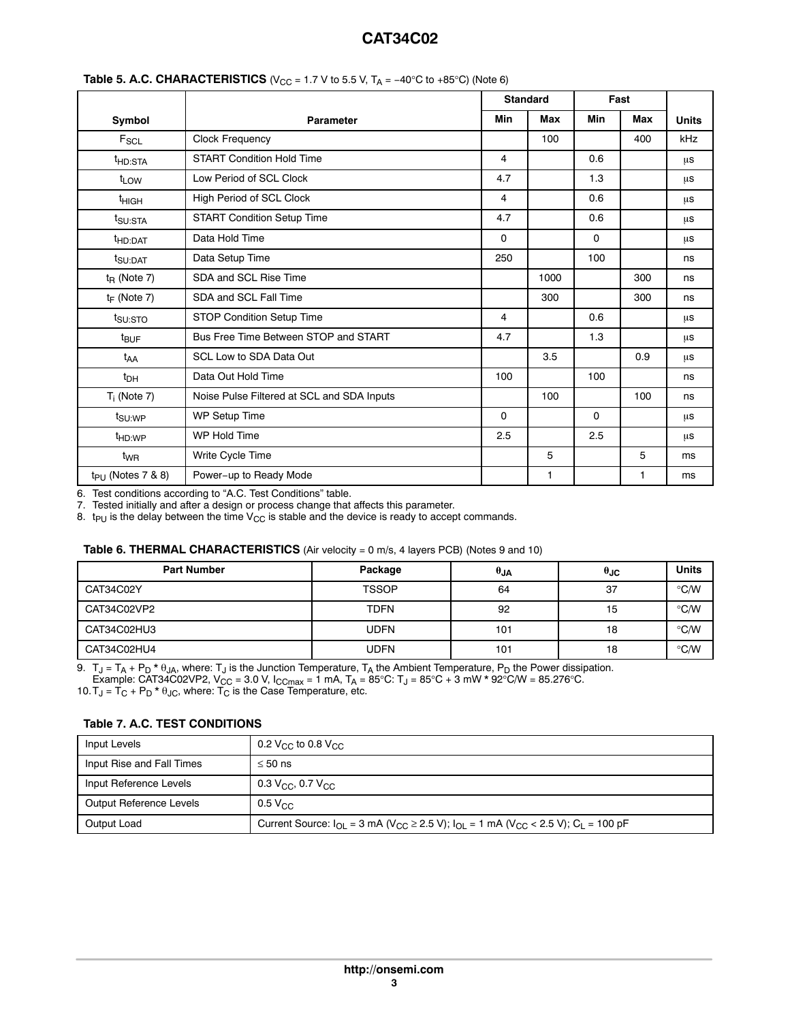|                      |                                            | <b>Standard</b> |            | Fast        |            |              |
|----------------------|--------------------------------------------|-----------------|------------|-------------|------------|--------------|
| Symbol               | <b>Parameter</b>                           | Min             | <b>Max</b> | <b>Min</b>  | <b>Max</b> | <b>Units</b> |
| $F_{SCL}$            | <b>Clock Frequency</b>                     |                 | 100        |             | 400        | kHz          |
| <sup>t</sup> HD:STA  | <b>START Condition Hold Time</b>           | 4               |            | 0.6         |            | μs           |
| t <sub>LOW</sub>     | Low Period of SCL Clock                    | 4.7             |            | 1.3         |            | μs           |
| <sup>t</sup> HIGH    | High Period of SCL Clock                   | 4               |            | 0.6         |            | μs           |
| t <sub>SU:STA</sub>  | <b>START Condition Setup Time</b>          | 4.7             |            | 0.6         |            | μs           |
| <sup>t</sup> HD:DAT  | Data Hold Time                             | 0               |            | $\mathbf 0$ |            | μs           |
| t <sub>SU:DAT</sub>  | Data Setup Time                            | 250             |            | 100         |            | ns           |
| $t_{\rm R}$ (Note 7) | SDA and SCL Rise Time                      |                 | 1000       |             | 300        | ns           |
| $t_F$ (Note 7)       | SDA and SCL Fall Time                      |                 | 300        |             | 300        | ns           |
| t <sub>su:STO</sub>  | STOP Condition Setup Time                  | 4               |            | 0.6         |            | μs           |
| $t_{\text{BUF}}$     | Bus Free Time Between STOP and START       | 4.7             |            | 1.3         |            | μs           |
| t <sub>AA</sub>      | SCL Low to SDA Data Out                    |                 | 3.5        |             | 0.9        | μs           |
| $t_{DH}$             | Data Out Hold Time                         | 100             |            | 100         |            | ns           |
| $T_i$ (Note 7)       | Noise Pulse Filtered at SCL and SDA Inputs |                 | 100        |             | 100        | ns           |
| t <sub>SU:WP</sub>   | WP Setup Time                              | $\mathbf 0$     |            | $\mathbf 0$ |            | μs           |
| <sup>t</sup> HD:WP   | WP Hold Time                               | 2.5             |            | 2.5         |            | μs           |
| t <sub>WR</sub>      | Write Cycle Time                           |                 | 5          |             | 5          | ms           |
| $tp_U$ (Notes 7 & 8) | Power-up to Ready Mode                     |                 | 1          |             | 1          | ms           |

#### **Table 5. A.C. CHARACTERISTICS** ( $V_{CC}$  = 1.7 V to 5.5 V, T<sub>A</sub> = −40°C to +85°C) (Note 6)

6. Test conditions according to "A.C. Test Conditions" table.

7. Tested initially and after a design or process change that affects this parameter.

8.  $t_{PU}$  is the delay between the time  $V_{CC}$  is stable and the device is ready to accept commands.

#### **Table 6. THERMAL CHARACTERISTICS** (Air velocity = 0 m/s, 4 layers PCB) (Notes 9 and 10)

| <b>Part Number</b> | Package      | $\theta$ JA | $\theta$ JC | <b>Units</b>  |
|--------------------|--------------|-------------|-------------|---------------|
| CAT34C02Y          | <b>TSSOP</b> | 64          | 37          | $\degree$ C/W |
| CAT34C02VP2        | <b>TDFN</b>  | 92          | 15          | $\degree$ C/W |
| CAT34C02HU3        | <b>UDFN</b>  | 101         | 18          | $\degree$ C/W |
| CAT34C02HU4        | UDFN         | 101         | 18          | $\degree$ C/W |

9.  $\rm\,T_J$  =  $\rm T_A$  +  $\rm P_D$  \*  $\rm \theta_{JA}$ , where:  $\rm T_J$  is the Junction Temperature,  $\rm T_A$  the Ambient Temperature,  $\rm P_D$  the Power dissipation.

Example: CAT34C02VP2, V $_{\rm CC}$  = 3.0 V, I $_{\rm CCmax}$  = 1 mA, T $_{\rm A}$  = 85°C: T $_{\rm J}$  = 85°C + 3 mW \* 92°C/W = 85.276°C.

10.  $T_J$  =  $T_C$  +  $P_D$  \*  $\theta_{JC}$ , where:  $T_C$  is the Case Temperature, etc.

## **Table 7. A.C. TEST CONDITIONS**

| Input Levels              | 0.2 V <sub>CC</sub> to 0.8 V <sub>CC</sub>                                                                                                                           |
|---------------------------|----------------------------------------------------------------------------------------------------------------------------------------------------------------------|
| Input Rise and Fall Times | $\leq 50$ ns                                                                                                                                                         |
| Input Reference Levels    | 0.3 V <sub>CC</sub> , 0.7 V <sub>CC</sub>                                                                                                                            |
| Output Reference Levels   | $0.5$ V <sub>CC</sub>                                                                                                                                                |
| Output Load               | Current Source: $I_{\text{OI}} = 3 \text{ mA}$ (V <sub>CC</sub> $\geq$ 2.5 V); $I_{\text{OI}} = 1 \text{ mA}$ (V <sub>CC</sub> $\lt$ 2.5 V); C <sub>L</sub> = 100 pF |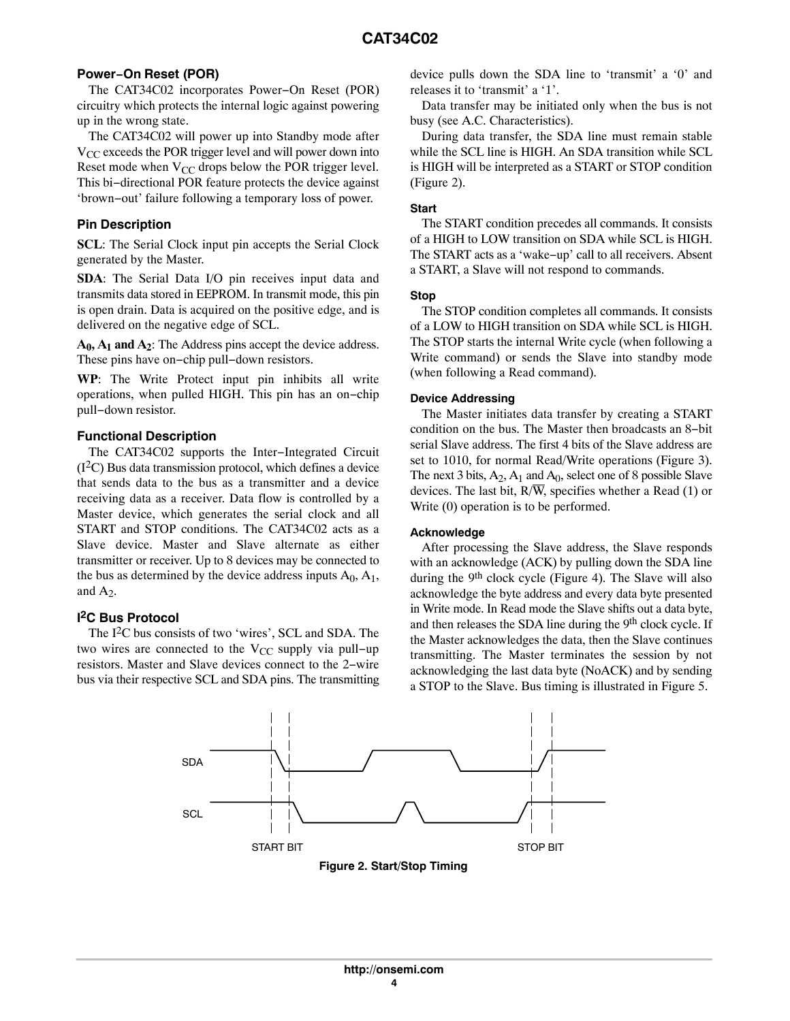## **Power−On Reset (POR)**

The CAT34C02 incorporates Power−On Reset (POR) circuitry which protects the internal logic against powering up in the wrong state.

The CAT34C02 will power up into Standby mode after  $V_{CC}$  exceeds the POR trigger level and will power down into Reset mode when  $V_{CC}$  drops below the POR trigger level. This bi−directional POR feature protects the device against 'brown−out' failure following a temporary loss of power.

## **Pin Description**

**SCL**: The Serial Clock input pin accepts the Serial Clock generated by the Master.

**SDA**: The Serial Data I/O pin receives input data and transmits data stored in EEPROM. In transmit mode, this pin is open drain. Data is acquired on the positive edge, and is delivered on the negative edge of SCL.

 $A_0$ ,  $A_1$  and  $A_2$ : The Address pins accept the device address. These pins have on−chip pull−down resistors.

**WP**: The Write Protect input pin inhibits all write operations, when pulled HIGH. This pin has an on−chip pull−down resistor.

## **Functional Description**

The CAT34C02 supports the Inter−Integrated Circuit  $(1<sup>2</sup>C)$  Bus data transmission protocol, which defines a device that sends data to the bus as a transmitter and a device receiving data as a receiver. Data flow is controlled by a Master device, which generates the serial clock and all START and STOP conditions. The CAT34C02 acts as a Slave device. Master and Slave alternate as either transmitter or receiver. Up to 8 devices may be connected to the bus as determined by the device address inputs  $A_0$ ,  $A_1$ , and  $A_2$ .

## **I 2C Bus Protocol**

The  $I<sup>2</sup>C$  bus consists of two 'wires', SCL and SDA. The two wires are connected to the  $V_{CC}$  supply via pull–up resistors. Master and Slave devices connect to the 2−wire bus via their respective SCL and SDA pins. The transmitting device pulls down the SDA line to 'transmit' a '0' and releases it to 'transmit' a '1'.

Data transfer may be initiated only when the bus is not busy (see A.C. Characteristics).

During data transfer, the SDA line must remain stable while the SCL line is HIGH. An SDA transition while SCL is HIGH will be interpreted as a START or STOP condition (Figure 2).

#### **Start**

The START condition precedes all commands. It consists of a HIGH to LOW transition on SDA while SCL is HIGH. The START acts as a 'wake−up' call to all receivers. Absent a START, a Slave will not respond to commands.

#### **Stop**

The STOP condition completes all commands. It consists of a LOW to HIGH transition on SDA while SCL is HIGH. The STOP starts the internal Write cycle (when following a Write command) or sends the Slave into standby mode (when following a Read command).

## **Device Addressing**

The Master initiates data transfer by creating a START condition on the bus. The Master then broadcasts an 8−bit serial Slave address. The first 4 bits of the Slave address are set to 1010, for normal Read/Write operations (Figure [3](#page-4-0)). The next 3 bits,  $A_2$ ,  $A_1$  and  $A_0$ , select one of 8 possible Slave devices. The last bit,  $R/\overline{W}$ , specifies whether a Read (1) or Write (0) operation is to be performed.

## **Acknowledge**

After processing the Slave address, the Slave responds with an acknowledge (ACK) by pulling down the SDA line during the 9<sup>th</sup> clock cycle (Figure [4\)](#page-4-0). The Slave will also acknowledge the byte address and every data byte presented in Write mode. In Read mode the Slave shifts out a data byte, and then releases the SDA line during the 9<sup>th</sup> clock cycle. If the Master acknowledges the data, then the Slave continues transmitting. The Master terminates the session by not acknowledging the last data byte (NoACK) and by sending a STOP to the Slave. Bus timing is illustrated in Figure [5](#page-4-0).



**Figure 2. Start/Stop Timing**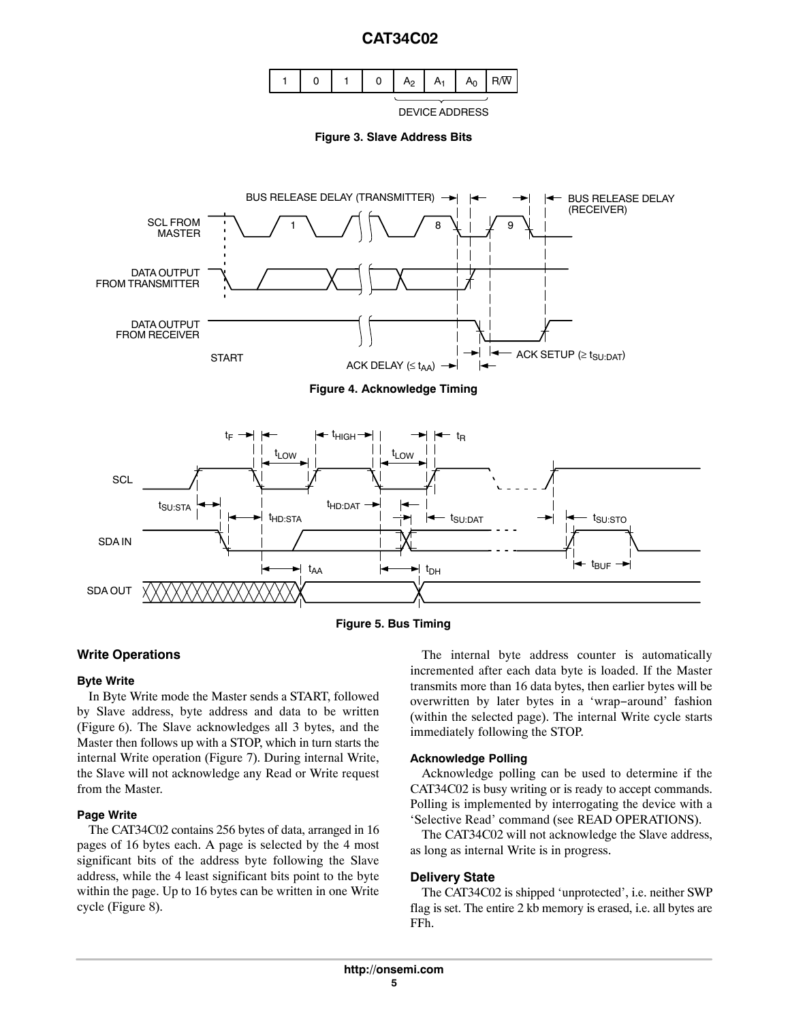

DEVICE ADDRESS



<span id="page-4-0"></span>



## **Write Operations**

#### **Byte Write**

In Byte Write mode the Master sends a START, followed by Slave address, byte address and data to be written (Figure [6\)](#page-5-0). The Slave acknowledges all 3 bytes, and the Master then follows up with a STOP, which in turn starts the internal Write operation (Figure [7](#page-5-0)). During internal Write, the Slave will not acknowledge any Read or Write request from the Master.

#### **Page Write**

The CAT34C02 contains 256 bytes of data, arranged in 16 pages of 16 bytes each. A page is selected by the 4 most significant bits of the address byte following the Slave address, while the 4 least significant bits point to the byte within the page. Up to 16 bytes can be written in one Write cycle (Figure [8](#page-5-0)).

The internal byte address counter is automatically incremented after each data byte is loaded. If the Master transmits more than 16 data bytes, then earlier bytes will be overwritten by later bytes in a 'wrap−around' fashion (within the selected page). The internal Write cycle starts immediately following the STOP.

## **Acknowledge Polling**

Acknowledge polling can be used to determine if the CAT34C02 is busy writing or is ready to accept commands. Polling is implemented by interrogating the device with a 'Selective Read' command (see READ OPERATIONS).

The CAT34C02 will not acknowledge the Slave address, as long as internal Write is in progress.

## **Delivery State**

The CAT34C02 is shipped 'unprotected', i.e. neither SWP flag is set. The entire 2 kb memory is erased, i.e. all bytes are FFh.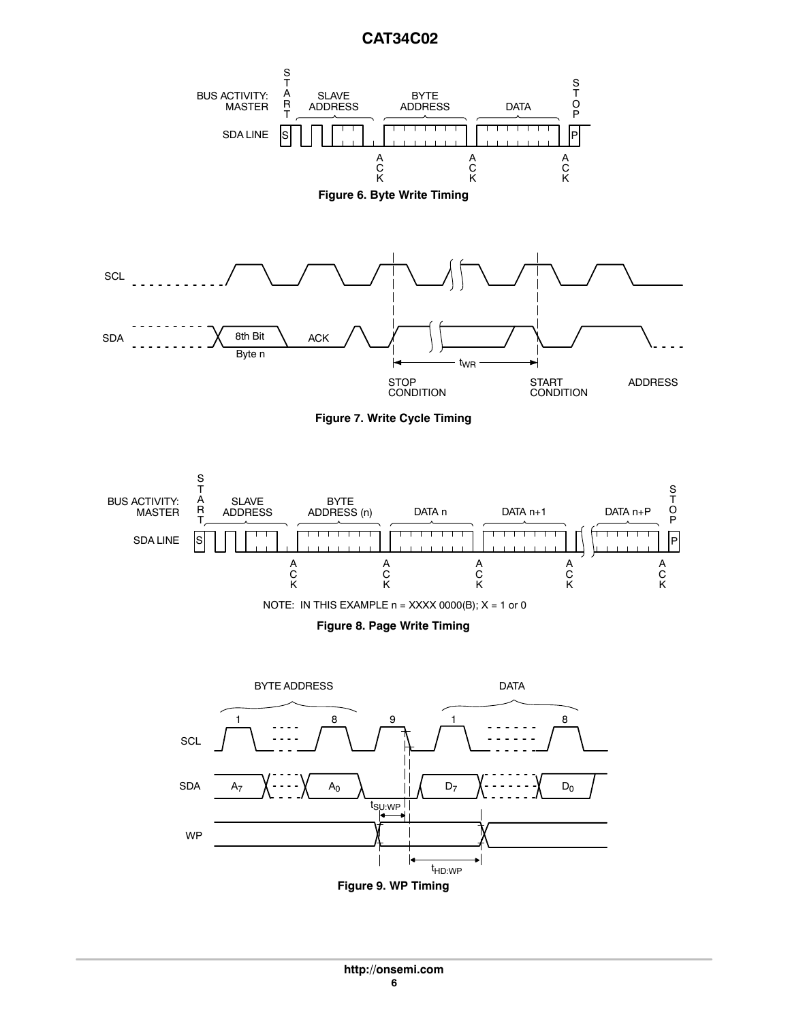<span id="page-5-0"></span>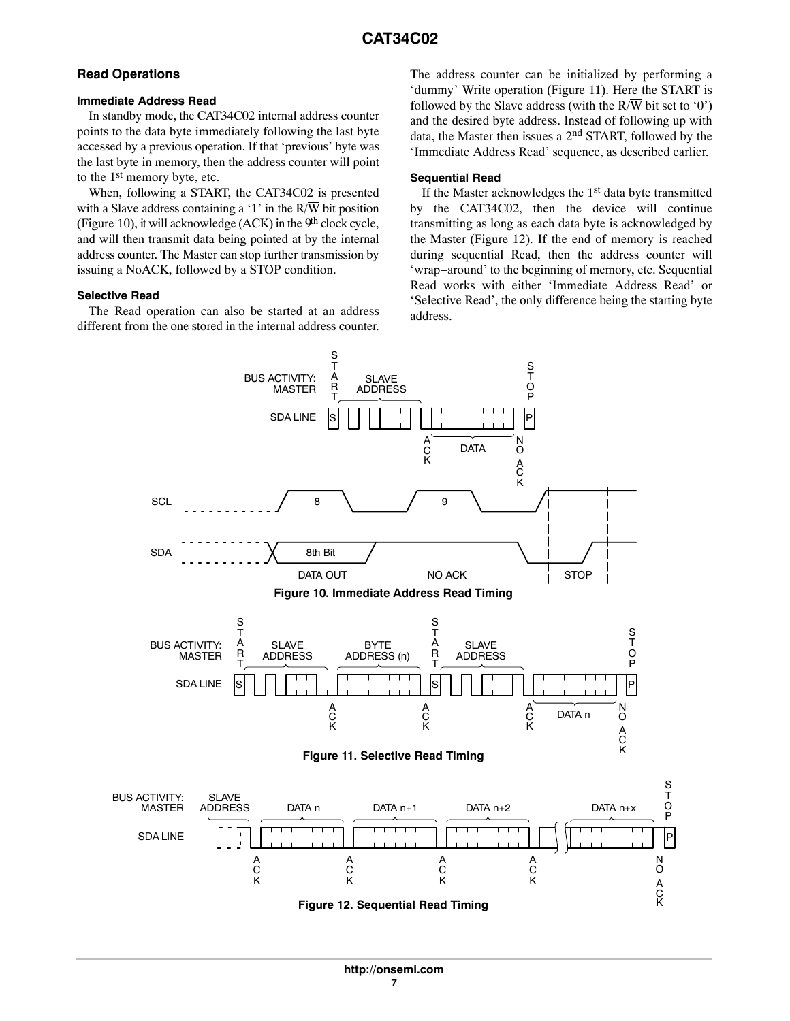## **Read Operations**

#### **Immediate Address Read**

In standby mode, the CAT34C02 internal address counter points to the data byte immediately following the last byte accessed by a previous operation. If that 'previous' byte was the last byte in memory, then the address counter will point to the 1st memory byte, etc.

When, following a START, the CAT34C02 is presented with a Slave address containing a '1' in the  $R/\overline{W}$  bit position (Figure 10), it will acknowledge  $(ACK)$  in the 9<sup>th</sup> clock cycle, and will then transmit data being pointed at by the internal address counter. The Master can stop further transmission by issuing a NoACK, followed by a STOP condition.

## **Selective Read**

The Read operation can also be started at an address different from the one stored in the internal address counter.

The address counter can be initialized by performing a 'dummy' Write operation (Figure 11). Here the START is followed by the Slave address (with the  $R/\overline{W}$  bit set to '0') and the desired byte address. Instead of following up with data, the Master then issues a 2nd START, followed by the 'Immediate Address Read' sequence, as described earlier.

## **Sequential Read**

If the Master acknowledges the  $1<sup>st</sup>$  data byte transmitted by the CAT34C02, then the device will continue transmitting as long as each data byte is acknowledged by the Master (Figure 12). If the end of memory is reached during sequential Read, then the address counter will 'wrap−around' to the beginning of memory, etc. Sequential Read works with either 'Immediate Address Read' or 'Selective Read', the only difference being the starting byte address.

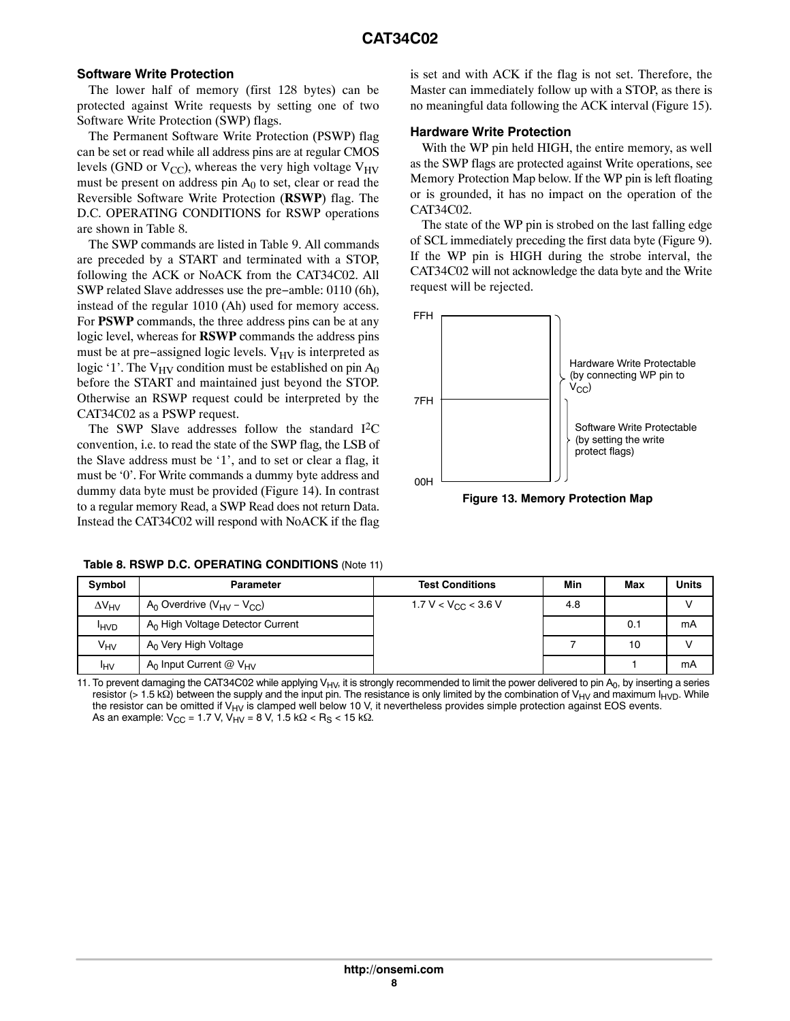## **Software Write Protection**

The lower half of memory (first 128 bytes) can be protected against Write requests by setting one of two Software Write Protection (SWP) flags.

The Permanent Software Write Protection (PSWP) flag can be set or read while all address pins are at regular CMOS levels (GND or  $V_{CC}$ ), whereas the very high voltage  $V_{HV}$ must be present on address pin  $A_0$  to set, clear or read the Reversible Software Write Protection (**RSWP**) flag. The D.C. OPERATING CONDITIONS for RSWP operations are shown in Table 8.

The SWP commands are listed in Table [9](#page-8-0). All commands are preceded by a START and terminated with a STOP, following the ACK or NoACK from the CAT34C02. All SWP related Slave addresses use the pre−amble: 0110 (6h), instead of the regular 1010 (Ah) used for memory access. For **PSWP** commands, the three address pins can be at any logic level, whereas for **RSWP** commands the address pins must be at pre–assigned logic levels.  $V_{HV}$  is interpreted as logic '1'. The  $V_{HV}$  condition must be established on pin  $A_0$ before the START and maintained just beyond the STOP. Otherwise an RSWP request could be interpreted by the CAT34C02 as a PSWP request.

The SWP Slave addresses follow the standard  $I<sup>2</sup>C$ convention, i.e. to read the state of the SWP flag, the LSB of the Slave address must be '1', and to set or clear a flag, it must be '0'. For Write commands a dummy byte address and dummy data byte must be provided (Figure [14\)](#page-8-0). In contrast to a regular memory Read, a SWP Read does not return Data. Instead the CAT34C02 will respond with NoACK if the flag

is set and with ACK if the flag is not set. Therefore, the Master can immediately follow up with a STOP, as there is no meaningful data following the ACK interval (Figure [15](#page-8-0)).

## **Hardware Write Protection**

With the WP pin held HIGH, the entire memory, as well as the SWP flags are protected against Write operations, see Memory Protection Map below. If the WP pin is left floating or is grounded, it has no impact on the operation of the CAT34C02.

The state of the WP pin is strobed on the last falling edge of SCL immediately preceding the first data byte (Figure [9](#page-5-0)). If the WP pin is HIGH during the strobe interval, the CAT34C02 will not acknowledge the data byte and the Write request will be rejected.



**Figure 13. Memory Protection Map**

|  |  |  | Table 8. RSWP D.C. OPERATING CONDITIONS (Note 11) |  |  |
|--|--|--|---------------------------------------------------|--|--|
|--|--|--|---------------------------------------------------|--|--|

| Symbol              | <b>Parameter</b>                                      | <b>Test Conditions</b>          | Min | Max | Units |
|---------------------|-------------------------------------------------------|---------------------------------|-----|-----|-------|
| $\Delta V_{\rm HV}$ | $A_0$ Overdrive ( $V_{\text{HV}}$ – $V_{\text{CC}}$ ) | 1.7 V < V <sub>CC</sub> < 3.6 V | 4.8 |     |       |
| <b>HVD</b>          | $A0$ High Voltage Detector Current                    |                                 |     | 0.1 | mA    |
| $V_{HV}$            | $A_0$ Very High Voltage                               |                                 |     | 10  |       |
| <b>IHV</b>          | $A_0$ Input Current @ $V_{HV}$                        |                                 |     |     | mA    |

11. To prevent damaging the CAT34C02 while applying  $V_{H/V}$ , it is strongly recommended to limit the power delivered to pin  $A_0$ , by inserting a series resistor (> 1.5 kΩ) between the supply and the input pin. The resistance is only limited by the combination of V<sub>HV</sub> and maximum I<sub>HVD</sub>. While the resistor can be omitted if  $V_{HV}$  is clamped well below 10 V, it nevertheless provides simple protection against EOS events. As an example:  $V_{CC} = 1.7$  V,  $V_{H,V} = 8$  V,  $1.5$  k $\Omega$  < R<sub>S</sub> < 15 k $\Omega$ .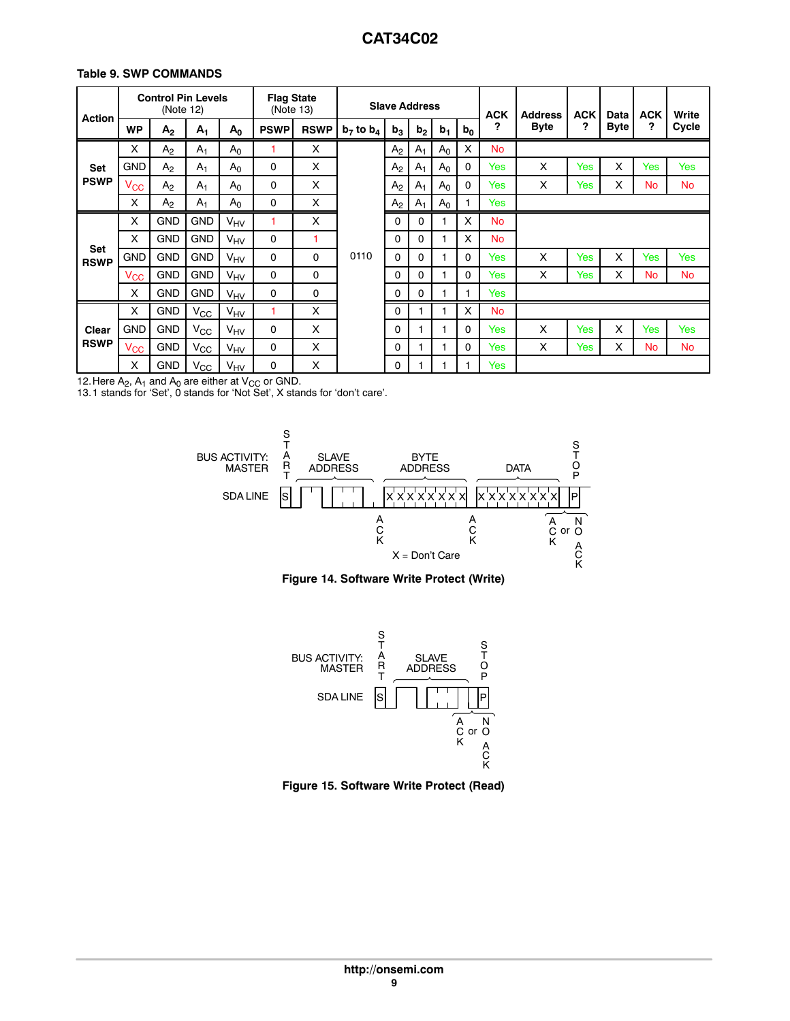## <span id="page-8-0"></span>**Table 9. SWP COMMANDS**

| <b>Action</b>             |                   | <b>Control Pin Levels</b><br>(Note 12) |                |                       | <b>Flag State</b><br>(Note 13) |             |                |                | <b>Slave Address</b> |                |              |           | <b>ACK</b>  | <b>Address</b> | <b>ACK</b>  | Data      | <b>ACK</b> | Write |
|---------------------------|-------------------|----------------------------------------|----------------|-----------------------|--------------------------------|-------------|----------------|----------------|----------------------|----------------|--------------|-----------|-------------|----------------|-------------|-----------|------------|-------|
|                           | <b>WP</b>         | A <sub>2</sub>                         | A <sub>1</sub> | $A_0$                 | <b>PSWP</b>                    | <b>RSWP</b> | $b_7$ to $b_4$ | b <sub>3</sub> | b <sub>2</sub>       | b <sub>1</sub> | $b_0$        | ?         | <b>Byte</b> | ?              | <b>Byte</b> | ?         | Cycle      |       |
|                           | X                 | A <sub>2</sub>                         | A <sub>1</sub> | A <sub>0</sub>        | ۴                              | X           |                | A <sub>2</sub> | $A_1$                | A <sub>0</sub> | X            | <b>No</b> |             |                |             |           |            |       |
| <b>Set</b>                | <b>GND</b>        | A <sub>2</sub>                         | A <sub>1</sub> | A <sub>0</sub>        | $\mathbf 0$                    | X           |                | A <sub>2</sub> | $A_1$                | A <sub>0</sub> | $\mathbf{0}$ | Yes       | X           | Yes            | X           | Yes       | Yes        |       |
| <b>PSWP</b>               | Vcc               | A <sub>2</sub>                         | $A_1$          | $A_0$                 | 0                              | X           |                | A <sub>2</sub> | $A_1$                | $A_0$          | $\mathbf{0}$ | Yes       | X           | Yes            | X           | <b>No</b> | No         |       |
|                           | X                 | A <sub>2</sub>                         | $A_1$          | $A_0$                 | $\mathbf 0$                    | X           |                | A <sub>2</sub> | $A_1$                | A <sub>0</sub> |              | Yes       |             |                |             |           |            |       |
|                           | X                 | <b>GND</b>                             | <b>GND</b>     | VHV                   | 1                              | X           |                | 0              | 0                    |                | X            | <b>No</b> |             |                |             |           |            |       |
|                           | X                 | <b>GND</b>                             | <b>GND</b>     | $V_{\text{HV}}$       | $\Omega$                       | 1           |                | $\Omega$       | 0                    | 1              | X            | <b>No</b> |             |                |             |           |            |       |
| <b>Set</b><br><b>RSWP</b> | <b>GND</b>        | <b>GND</b>                             | <b>GND</b>     | <b>V<sub>HV</sub></b> | $\Omega$                       | $\mathbf 0$ | 0110           | $\Omega$       | 0                    |                | 0            | Yes       | X           | Yes            | X           | Yes       | Yes        |       |
|                           | $\mathsf{V_{CC}}$ | <b>GND</b>                             | <b>GND</b>     | VHV                   | $\mathbf 0$                    | 0           |                | 0              | 0                    | 1              | 0            | Yes       | X           | Yes            | X           | No        | <b>No</b>  |       |
|                           | X                 | <b>GND</b>                             | <b>GND</b>     | $V_{\text{HV}}$       | $\mathbf 0$                    | 0           |                | $\Omega$       | 0                    | 1              |              | Yes       |             |                |             |           |            |       |
|                           | X                 | <b>GND</b>                             | $V_{\rm CC}$   | <b>V<sub>HV</sub></b> |                                | X           |                | $\Omega$       |                      |                | X            | <b>No</b> |             |                |             |           |            |       |
| Clear                     | <b>GND</b>        | <b>GND</b>                             | $V_{\rm CC}$   | $V_{\text{HV}}$       | $\mathbf 0$                    | X           |                | 0              |                      | 1              | 0            | Yes       | X           | <b>Yes</b>     | X           | Yes       | Yes        |       |
| <b>RSWP</b>               | Vcc               | <b>GND</b>                             | $V_{\rm CC}$   | VHV                   | $\Omega$                       | X           |                | $\Omega$       |                      | 1              | 0            | Yes       | X           | Yes            | X           | <b>No</b> | <b>No</b>  |       |
|                           | X                 | <b>GND</b>                             | $V_{\rm CC}$   | V <sub>HV</sub>       | 0                              | X           |                | 0              |                      |                |              | Yes       |             |                |             |           |            |       |

12. Here  $A_2$ ,  $A_1$  and  $A_0$  are either at  $V_{CC}$  or GND.<br>13. 1 stands for 'Set', 0 stands for 'Not Set', X stands for 'don't care'.







**Figure 15. Software Write Protect (Read)**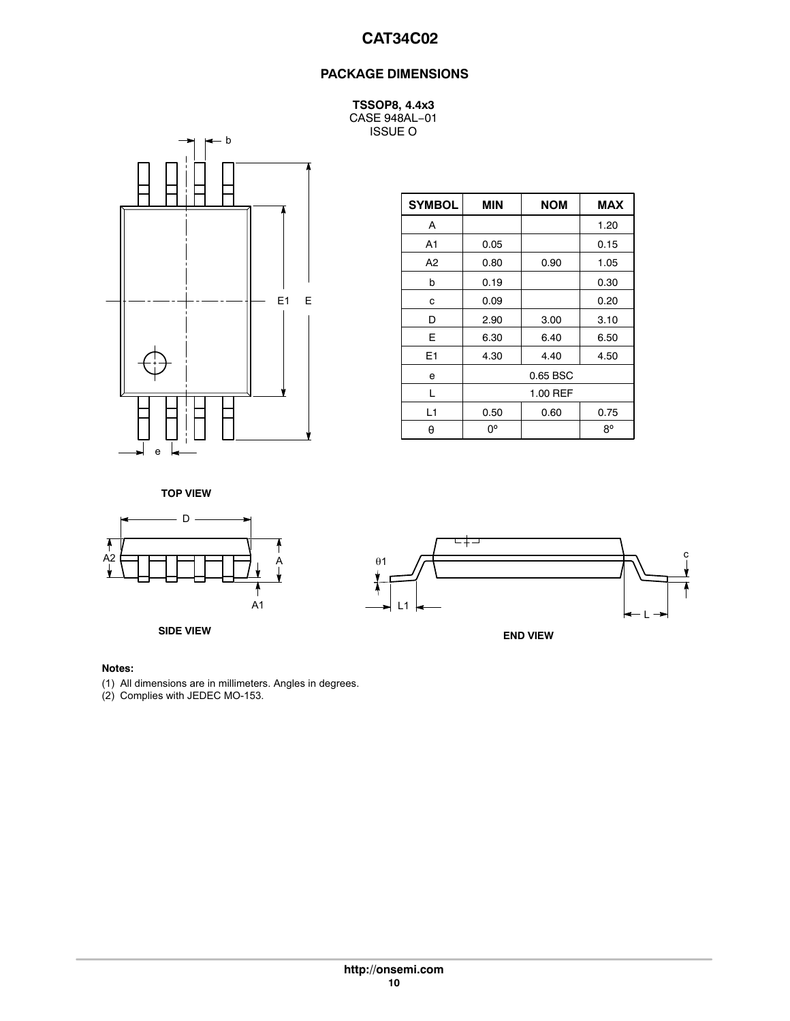## **PACKAGE DIMENSIONS**

**TSSOP8, 4.4x3** CASE 948AL−01 ISSUE O



| <b>SYMBOL</b>  | <b>MIN</b> | <b>NOM</b> | <b>MAX</b>  |
|----------------|------------|------------|-------------|
| Α              |            |            | 1.20        |
| A <sub>1</sub> | 0.05       |            | 0.15        |
| A2             | 0.80       | 0.90       | 1.05        |
| b              | 0.19       |            | 0.30        |
| с              | 0.09       |            | 0.20        |
| D              | 2.90       | 3.00       | 3.10        |
| E              | 6.30       | 6.40       | 6.50        |
| E <sub>1</sub> | 4.30       | 4.40       | 4.50        |
| е              |            | 0.65 BSC   |             |
| L              |            | 1.00 REF   |             |
| L1             | 0.50       | 0.60       | 0.75        |
| θ              | 0°         |            | $8^{\circ}$ |

**TOP VIEW**





## **Notes:**

(1) All dimensions are in millimeters. Angles in degrees.

(2) Complies with JEDEC MO-153.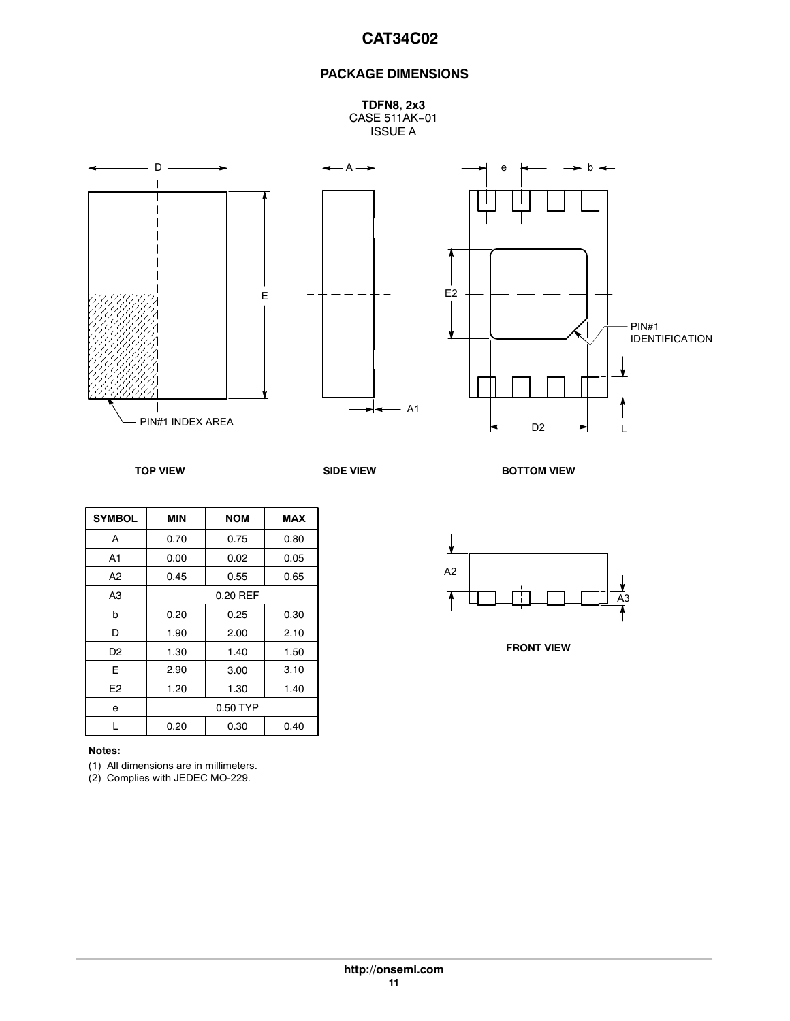## **PACKAGE DIMENSIONS**

**TDFN8, 2x3** CASE 511AK−01 ISSUE A







| <b>SYMBOL</b>  | <b>MIN</b> | <b>NOM</b> | <b>MAX</b> |
|----------------|------------|------------|------------|
| A              | 0.70       | 0.75       | 0.80       |
| A <sub>1</sub> | 0.00       | 0.02       | 0.05       |
| A <sub>2</sub> | 0.45       | 0.55       | 0.65       |
| A <sub>3</sub> | 0.20 REF   |            |            |
| b              | 0.20       | 0.25       | 0.30       |
| D              | 1.90       | 2.00       | 2.10       |
| D <sub>2</sub> | 1.30       | 1.40       | 1.50       |
| E              | 2.90       | 3.00       | 3.10       |
| E <sub>2</sub> | 1.20       | 1.30       | 1.40       |
| e              | 0.50 TYP   |            |            |
|                | 0.20       | 0.30       | 0.40       |

#### **Notes:**

(1) All dimensions are in millimeters.

(2) Complies with JEDEC MO-229.

**TOP VIEW SIDE VIEW SIDE VIEW BOTTOM VIEW** 



**FRONT VIEW**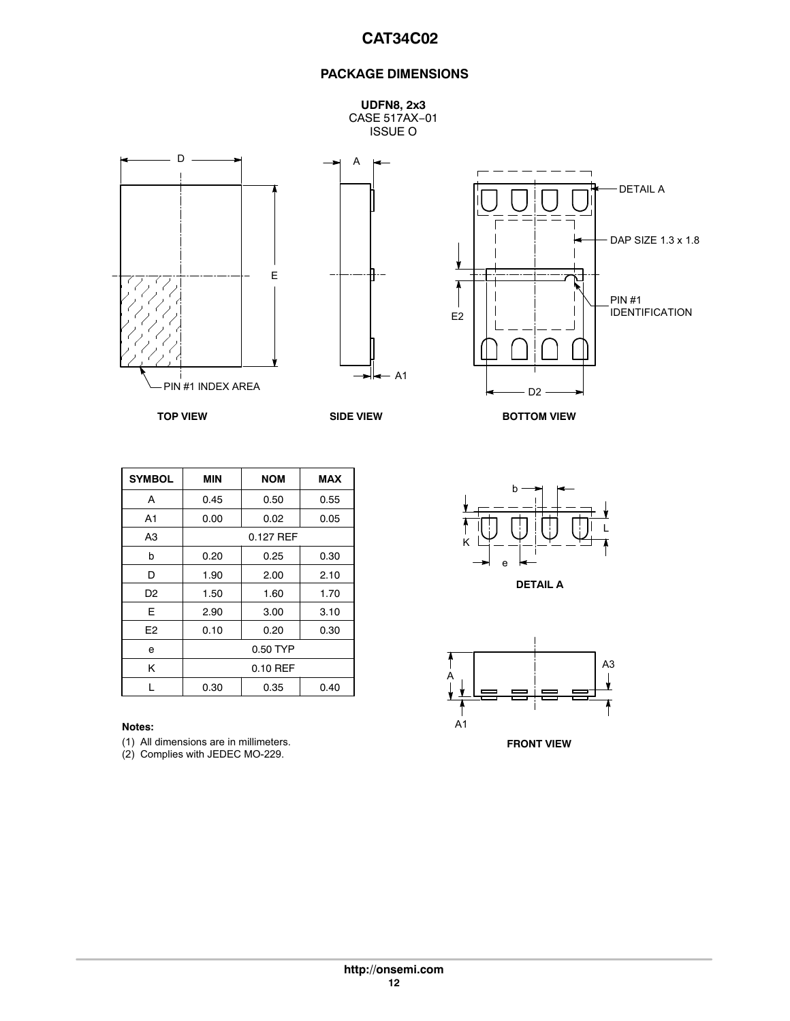## **PACKAGE DIMENSIONS**

**UDFN8, 2x3** CASE 517AX−01 ISSUE O







**TOP VIEW SIDE VIEW**

**BOTTOM VIEW**

| <b>SYMBOL</b>  | MIN       | <b>NOM</b> | <b>MAX</b> |
|----------------|-----------|------------|------------|
| A              | 0.45      | 0.50       | 0.55       |
| A <sub>1</sub> | 0.00      | 0.02       | 0.05       |
| A <sub>3</sub> | 0.127 REF |            |            |
| b              | 0.20      | 0.25       | 0.30       |
| D              | 1.90      | 2.00       | 2.10       |
| D <sub>2</sub> | 1.50      | 1.60       | 1.70       |
| E              | 2.90      | 3.00       | 3.10       |
| E <sub>2</sub> | 0.10      | 0.20       | 0.30       |
| e              | 0.50 TYP  |            |            |
| Κ              | 0.10 REF  |            |            |
| L              | 0.30      | 0.35       | 0.40       |

(1) All dimensions are in millimeters.

(2) Complies with JEDEC MO-229.



**DETAIL A**

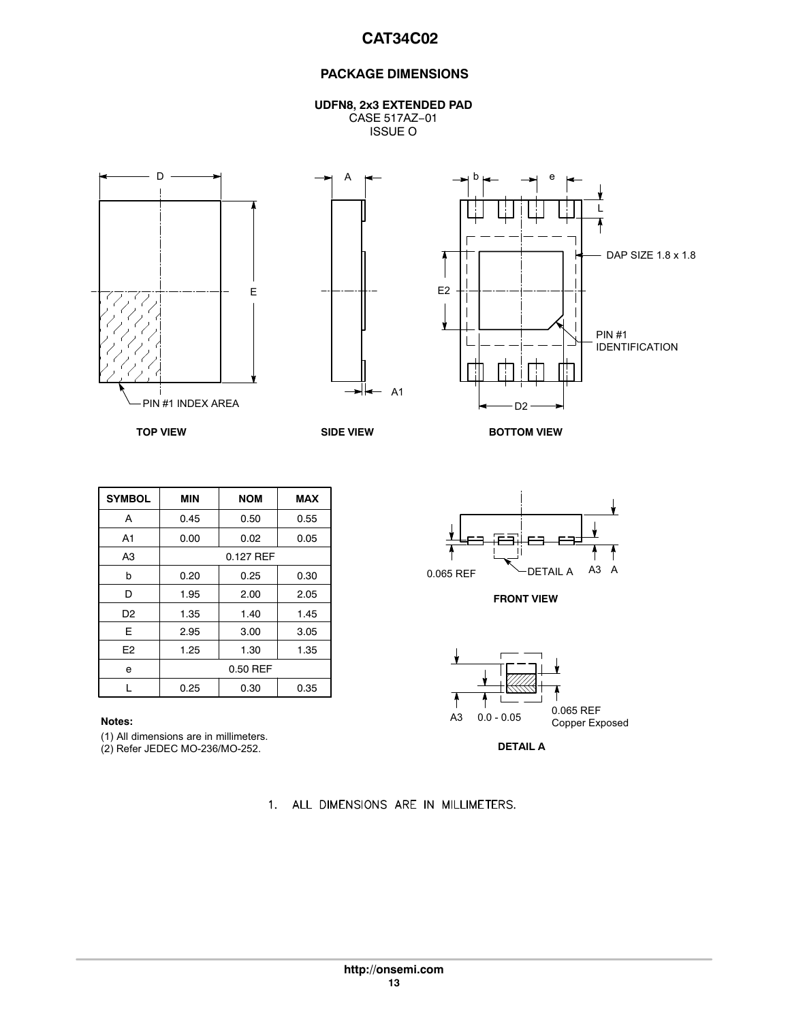## **PACKAGE DIMENSIONS**

**UDFN8, 2x3 EXTENDED PAD** CASE 517AZ−01 ISSUE O







**TOP VIEW SIDE VIEW**

**BOTTOM VIEW**

| <b>SYMBOL</b>  | <b>MIN</b> | <b>NOM</b> | <b>MAX</b> |
|----------------|------------|------------|------------|
| A              | 0.45       | 0.50       | 0.55       |
| A <sub>1</sub> | 0.00       | 0.02       | 0.05       |
| A <sub>3</sub> | 0.127 REF  |            |            |
| b              | 0.20       | 0.25       | 0.30       |
| D              | 1.95       | 2.00       | 2.05       |
| D <sub>2</sub> | 1.35       | 1.40       | 1.45       |
| E              | 2.95       | 3.00       | 3.05       |
| E <sub>2</sub> | 1.25       | 1.30       | 1.35       |
| e              | 0.50 REF   |            |            |
|                | 0.25       | 0.30       | 0.35       |

(1) All dimensions are in millimeters.

(2) Refer JEDEC MO-236/MO-252.

1. ALL DIMENSIONS ARE IN MILLIMETERS.



**FRONT VIEW**



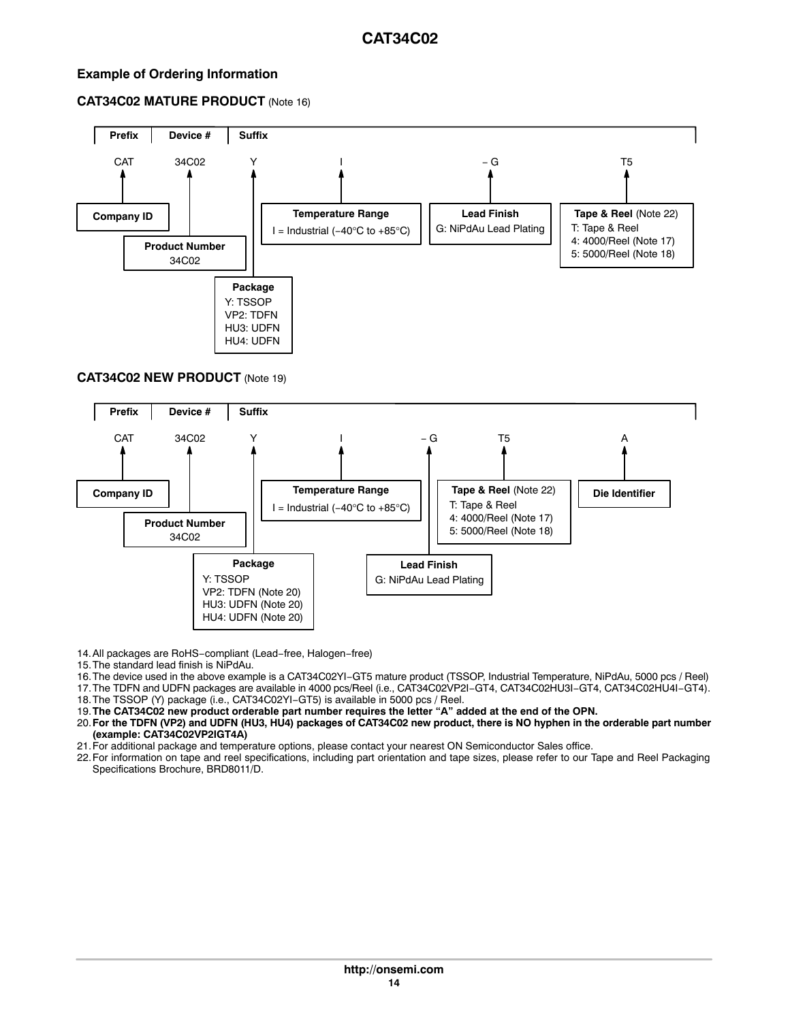## <span id="page-13-0"></span>**Example of Ordering Information**

## **CAT34C02 MATURE PRODUCT** (Note 16)



## **CAT34C02 NEW PRODUCT** (Note 19)



14.All packages are RoHS−compliant (Lead−free, Halogen−free)

15.The standard lead finish is NiPdAu.

16.The device used in the above example is a CAT34C02YI−GT5 mature product (TSSOP, Industrial Temperature, NiPdAu, 5000 pcs / Reel)

17.The TDFN and UDFN packages are available in 4000 pcs/Reel (i.e., CAT34C02VP2I−GT4, CAT34C02HU3I−GT4, CAT34C02HU4I−GT4).

18.The TSSOP (Y) package (i.e., CAT34C02YI−GT5) is available in 5000 pcs / Reel.

19.**The CAT34C02 new product orderable part number requires the letter "A" added at the end of the OPN.**

20.**For the TDFN (VP2) and UDFN (HU3, HU4) packages of CAT34C02 new product, there is NO hyphen in the orderable part number (example: CAT34C02VP2IGT4A)**

21.For additional package and temperature options, please contact your nearest ON Semiconductor Sales office.

22.For information on tape and reel specifications, including part orientation and tape sizes, please refer to our Tape and Reel Packaging Specifications Brochure, BRD8011/D.